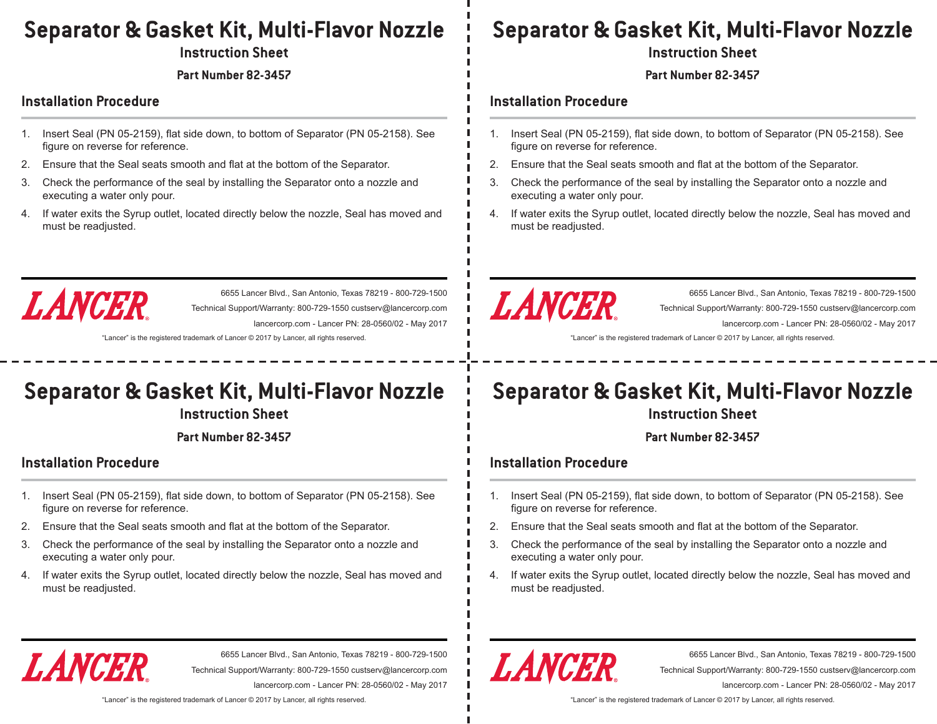### **Separator & Gasket Kit, Multi-Flavor Nozzle**

**Instruction Sheet**

**Part Number 82-3457**

### **Installation Procedure**

- 1. Insert Seal (PN 05-2159), flat side down, to bottom of Separator (PN 05-2158). See figure on reverse for reference.
- 2. Ensure that the Seal seats smooth and flat at the bottom of the Separator.
- 3. Check the performance of the seal by installing the Separator onto a nozzle and executing a water only pour.
- 4. If water exits the Syrup outlet, located directly below the nozzle, Seal has moved and must be readjusted.



6655 Lancer Blvd., San Antonio, Texas 78219 - 800-729-1500 Technical Support/Warranty: 800-729-1550 custserv@lancercorp.com lancercorp.com - Lancer PN: 28-0560/02 - May 2017

"Lancer" is the registered trademark of Lancer © 2017 by Lancer, all rights reserved.

## **Separator & Gasket Kit, Multi-Flavor Nozzle**

**Instruction Sheet**

**Part Number 82-3457**

### **Installation Procedure**

- 1. Insert Seal (PN 05-2159), flat side down, to bottom of Separator (PN 05-2158). See figure on reverse for reference.
- 2. Ensure that the Seal seats smooth and flat at the bottom of the Separator.
- 3. Check the performance of the seal by installing the Separator onto a nozzle and executing a water only pour.
- 4. If water exits the Syrup outlet, located directly below the nozzle, Seal has moved and must be readjusted.

### **Separator & Gasket Kit, Multi-Flavor Nozzle**

**Instruction Sheet**

**Part Number 82-3457**

#### **Installation Procedure**

- 1. Insert Seal (PN 05-2159), flat side down, to bottom of Separator (PN 05-2158). See figure on reverse for reference.
- 2. Ensure that the Seal seats smooth and flat at the bottom of the Separator.
- 3. Check the performance of the seal by installing the Separator onto a nozzle and executing a water only pour.
- 4. If water exits the Syrup outlet, located directly below the nozzle, Seal has moved and must be readjusted.



6655 Lancer Blvd., San Antonio, Texas 78219 - 800-729-1500 Technical Support/Warranty: 800-729-1550 custserv@lancercorp.com lancercorp.com - Lancer PN: 28-0560/02 - May 2017

"Lancer" is the registered trademark of Lancer © 2017 by Lancer, all rights reserved.

# **Separator & Gasket Kit, Multi-Flavor Nozzle**

**Instruction Sheet**

**Part Number 82-3457**

### **Installation Procedure**

- 1. Insert Seal (PN 05-2159), flat side down, to bottom of Separator (PN 05-2158). See figure on reverse for reference.
- 2. Ensure that the Seal seats smooth and flat at the bottom of the Separator.
- 3. Check the performance of the seal by installing the Separator onto a nozzle and executing a water only pour.
- 4. If water exits the Syrup outlet, located directly below the nozzle, Seal has moved and must be readjusted.



6655 Lancer Blvd., San Antonio, Texas 78219 - 800-729-1500 Technical Support/Warranty: 800-729-1550 custserv@lancercorp.com lancercorp.com - Lancer PN: 28-0560/02 - May 2017

LANCER

6655 Lancer Blvd., San Antonio, Texas 78219 - 800-729-1500 Technical Support/Warranty: 800-729-1550 custserv@lancercorp.com lancercorp.com - Lancer PN: 28-0560/02 - May 2017

"Lancer" is the registered trademark of Lancer © 2017 by Lancer, all rights reserved.